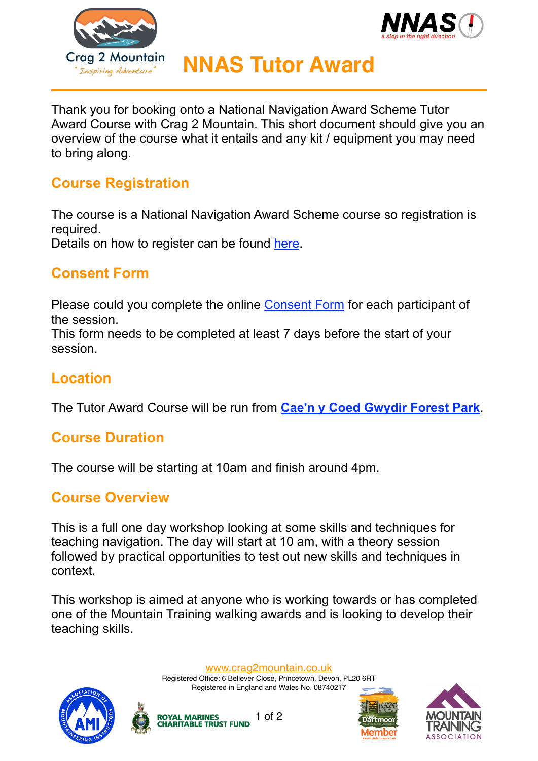



# **NNAS Tutor Award**

Thank you for booking onto a National Navigation Award Scheme Tutor Award Course with Crag 2 Mountain. This short document should give you an overview of the course what it entails and any kit / equipment you may need to bring along.

#### **Course Registration**

The course is a National Navigation Award Scheme course so registration is required.

Details on how to register can be found [here](https://NNAS.JustGo.com/?club=E892DB9C00B3A9C043EC04C0E913A650E7988B41).

#### **Consent Form**

Please could you complete the online [Consent Form](https://form.jotformeu.com/crag2mountain/navigation-courses-consent-forms) for each participant of the session.

This form needs to be completed at least 7 days before the start of your session.

### **Location**

The Tutor Award Course will be run from **[Cae'n y Coed Gwydir Forest Park](https://goo.gl/maps/2ND4huPaUxAPLGc98)**.

#### **Course Duration**

The course will be starting at 10am and finish around 4pm.

#### **Course Overview**

This is a full one day workshop looking at some skills and techniques for teaching navigation. The day will start at 10 am, with a theory session followed by practical opportunities to test out new skills and techniques in context.

This workshop is aimed at anyone who is working towards or has completed one of the Mountain Training walking awards and is looking to develop their teaching skills.

[www.crag2mountain.co.uk](http://www.crag2mountain.co.uk)

Registered Office: 6 Bellever Close, Princetown, Devon, PL20 6RT Registered in England and Wales No. 08740217